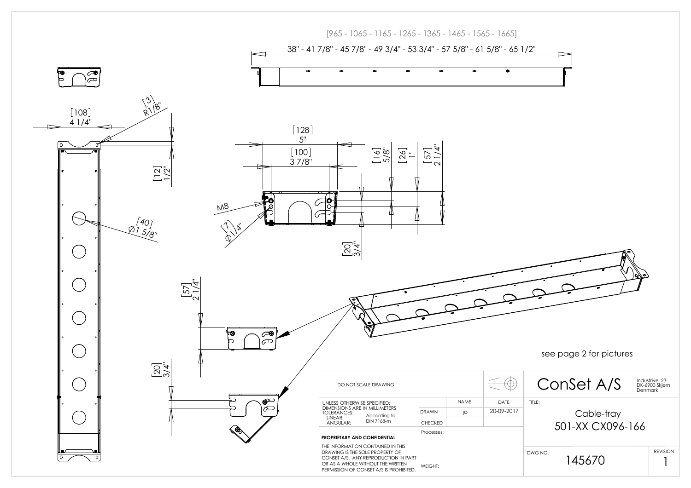